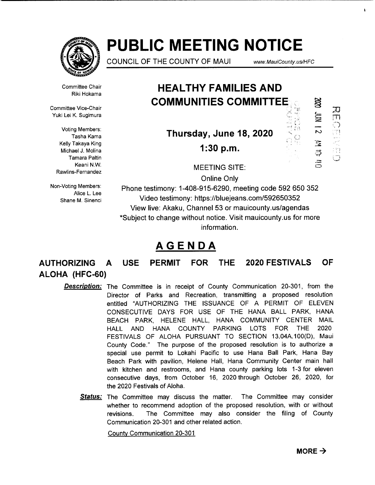

# **PUBLIC MEETING NOTICE**

COUNCIL OF THE COUNTY OF MAUI

www.MauiCounty.us/HFC

XXX

 $21$  MIC

ミ<br>ラ

HOEL CE

Committee Chair Riki Hokama

Committee Vice-Chair Yuki Lei K. Sugimura

> Voting Members: Tasha Kama Kelly Takaya King Michael J. Molina Tamara Paltin Keani N.W. Rawlins-Fernandez

Non-Voting Members: Alice L. Lee Shane M. Sinenci

# **HEAL THY FAMILIES AND COMMUNITIES COMMITTEE**

**Thursday, June 18, 2020** 

**1:30 p.m.** 

MEETING SITE:

Online Only

Phone testimony: 1-408-915-6290, meeting code 592 650 352 Video testimony: https://bluejeans.com/592650352 View live: Akaku, Channel 53 or mauicounty.us/agendas \*Subject to change without notice. Visit mauicounty.us for more information.

# **AGENDA**

**AUTHORIZING A USE PERMIT FOR THE 2020 FESTIVALS OF ALOHA (HFC-60)** 

- **Description:** The Committee is in receipt of County Communication 20-301, from the Director of Parks and Recreation, transmitting a proposed resolution entitled "AUTHORIZING THE ISSUANCE OF A PERMIT OF ELEVEN CONSECUTIVE DAYS FOR USE OF THE HANA BALL PARK, HANA BEACH PARK, HELENE HALL, HANA COMMUNITY CENTER MAIL HALL AND HANA COUNTY PARKING LOTS FOR THE 2020 FESTIVALS OF ALOHA PURSUANT TO SECTION 13.04A.100(D), Maui County Code." The purpose of the proposed resolution is to authorize a special use permit to Lokahi Pacific to use Hana Ball Park, Hana Bay Beach Park with pavilion, Helene Hall, Hana Community Center main hall with kitchen and restrooms, and Hana county parking lots 1-3 for eleven consecutive days, from October 16, 2020 through October 26, 2020, for the 2020 Festivals of Aloha.
	- **Status:** The Committee may discuss the matter. The Committee may consider whether to recommend adoption of the proposed resolution, with or without revisions. The Committee may also consider the filing of County Communication 20-301 and other related action.

County Communication 20-301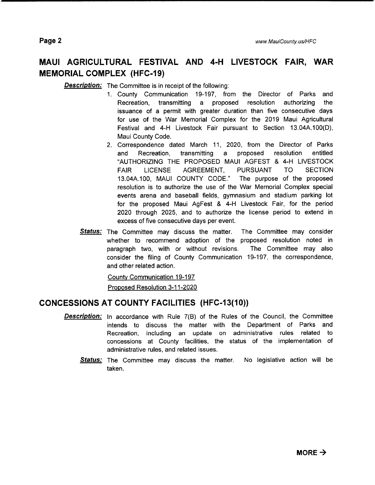# **MAUl AGRICULTURAL FESTIVAL AND 4-H LIVESTOCK FAIR, WAR MEMORIAL COMPLEX (HFC-19)**

**Description:** The Committee is in receipt of the following:

- 1. County Communication 19-197, from the Director of Parks and Recreation, transmitting a proposed resolution authorizing the issuance of a permit with greater duration than five consecutive days for use of the War Memorial Complex for the 2019 Maui Agricultural Festival and 4-H Livestock Fair pursuant to Section 13.04A.100(D), Maui County Code.
- 2. Correspondence dated March 11, 2020, from the Director of Parks and Recreation, transmitting a proposed resolution entitled "AUTHORIZING THE PROPOSED MAUl AGFEST & 4-H LIVESTOCK FAIR LICENSE AGREEMENT, PURSUANT TO SECTION 13.04A.1 00, MAUl COUNTY CODE." The purpose of the proposed resolution is to authorize the use of the War Memorial Complex special events arena and baseball fields, gymnasium and stadium parking lot for the proposed Maui AgFest & 4-H Livestock Fair, for the period 2020 through 2025, and to authorize the license period to extend in excess of five consecutive days per event.
- **Status:** The Committee may discuss the matter. The Committee may consider whether to recommend adoption of the proposed resolution noted in paragraph two, with or without revisions. The Committee may also consider the filing of County Communication 19-197, the correspondence, and other related action.

County Communication 19-197

Proposed Resolution 3-11-2020

## **CONCESSIONS AT COUNTY FACILITIES (HFC-13(10))**

- **Description:** In accordance with Rule 7(8) of the Rules of the Council, the Committee intends to discuss the matter with the Department of Parks and Recreation, including an update on administrative rules related to concessions at County facilities, the status of the implementation of administrative rules, and related issues.
	- **Status:** The Committee may discuss the matter. No legislative action will be taken.